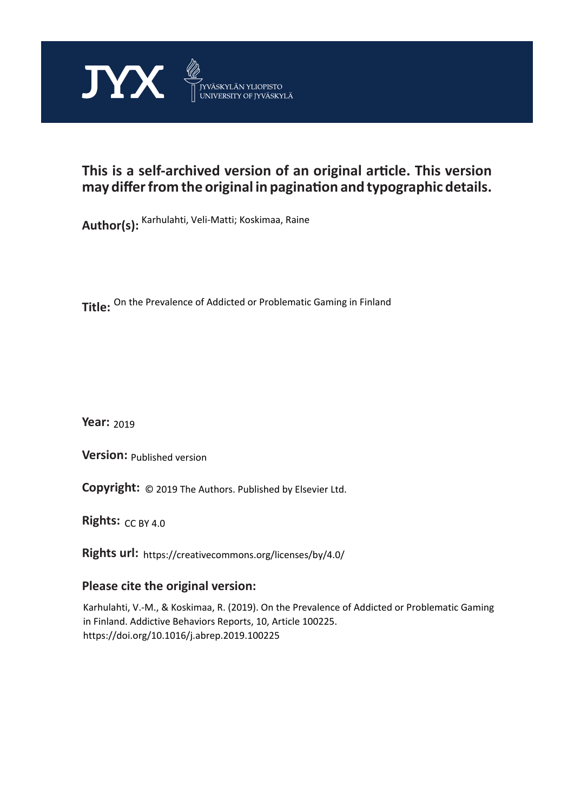

# **This is a self-archived version of an original article. This version may differ from the original in pagination and typographic details.**

**Author(s):**  Karhulahti, Veli-Matti; Koskimaa, Raine

**Title:**  On the Prevalence of Addicted or Problematic Gaming in Finland

**Year:**  2019

**Version:**

**Version:** Published version<br>**Copyright:** © 2019 The Authors. Published by Elsevier Ltd.

**Rights:** CC BY 4.0

**Rights url:**  https://creativecommons.org/licenses/by/4.0/

### **Please cite the original version:**

Karhulahti, V.-M., & Koskimaa, R. (2019). On the Prevalence of Addicted or Problematic Gaming in Finland. Addictive Behaviors Reports, 10, Article 100225. https://doi.org/10.1016/j.abrep.2019.100225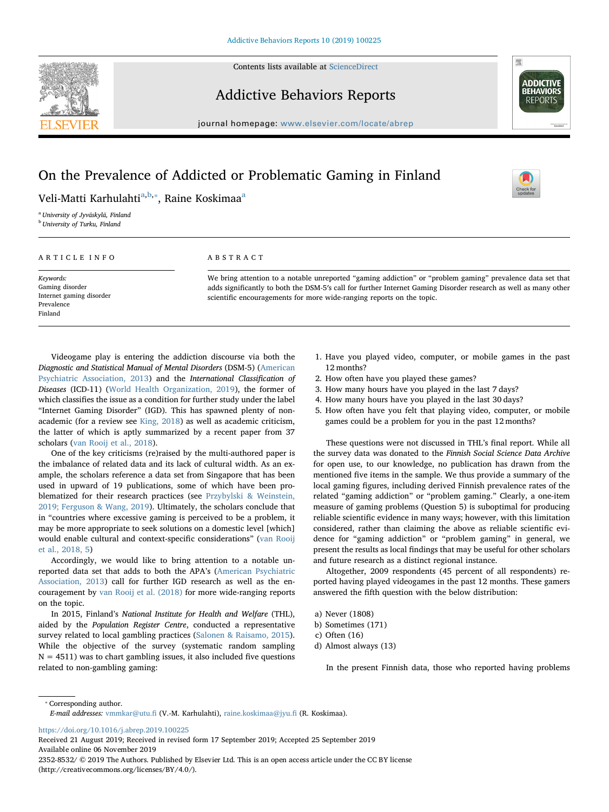Contents lists available at [ScienceDirect](http://www.sciencedirect.com/science/journal/23528532)



### Addictive Behaviors Reports



journal homepage: [www.elsevier.com/locate/abrep](https://www.elsevier.com/locate/abrep)

## On the Prevalence of Addicted or Problematic Gaming in Finland

 $\frac{N}{2}$ 

Veli-Matti Karhulahti<sup>[a,](#page-1-0)[b](#page-1-1),</sup>\*, R[a](#page-1-0)ine Koskimaa<sup>a</sup>

<span id="page-1-0"></span><sup>a</sup> University of Jyväskylä, Finland

<span id="page-1-1"></span>**b** University of Turku, Finland

#### ARTICLE INFO

Keywords:

ABSTRACT

We bring attention to a notable unreported "gaming addiction" or "problem gaming" prevalence data set that adds significantly to both the DSM-5′s call for further Internet Gaming Disorder research as well as many other scientific encouragements for more wide-ranging reports on the topic.

Gaming disorder Internet gaming disorder Prevalence Finland

Videogame play is entering the addiction discourse via both the Diagnostic and Statistical Manual of Mental Disorders (DSM-5) ([American](#page-2-0) [Psychiatric Association, 2013\)](#page-2-0) and the International Classification of Diseases (ICD-11) ([World Health Organization, 2019\)](#page-2-1), the former of which classifies the issue as a condition for further study under the label "Internet Gaming Disorder" (IGD). This has spawned plenty of nonacademic (for a review see [King, 2018](#page-2-2)) as well as academic criticism, the latter of which is aptly summarized by a recent paper from 37 scholars ([van Rooij et al., 2018](#page-2-3)).

One of the key criticisms (re)raised by the multi-authored paper is the imbalance of related data and its lack of cultural width. As an example, the scholars reference a data set from Singapore that has been used in upward of 19 publications, some of which have been problematized for their research practices (see [Przybylski & Weinstein,](#page-2-4) [2019; Ferguson & Wang, 2019\)](#page-2-4). Ultimately, the scholars conclude that in "countries where excessive gaming is perceived to be a problem, it may be more appropriate to seek solutions on a domestic level [which] would enable cultural and context-specific considerations" [\(van Rooij](#page-2-3) [et al., 2018, 5\)](#page-2-3)

Accordingly, we would like to bring attention to a notable unreported data set that adds to both the APA's ([American Psychiatric](#page-2-0) [Association, 2013](#page-2-0)) call for further IGD research as well as the encouragement by [van Rooij et al. \(2018\)](#page-2-3) for more wide-ranging reports on the topic.

In 2015, Finland's National Institute for Health and Welfare (THL), aided by the Population Register Centre, conducted a representative survey related to local gambling practices ([Salonen & Raisamo, 2015](#page-2-5)). While the objective of the survey (systematic random sampling  $N = 4511$ ) was to chart gambling issues, it also included five questions related to non-gambling gaming:

- 1. Have you played video, computer, or mobile games in the past 12 months?
- 2. How often have you played these games?
- 3. How many hours have you played in the last 7 days?
- 4. How many hours have you played in the last 30 days?
- 5. How often have you felt that playing video, computer, or mobile games could be a problem for you in the past 12 months?

These questions were not discussed in THL's final report. While all the survey data was donated to the Finnish Social Science Data Archive for open use, to our knowledge, no publication has drawn from the mentioned five items in the sample. We thus provide a summary of the local gaming figures, including derived Finnish prevalence rates of the related "gaming addiction" or "problem gaming." Clearly, a one-item measure of gaming problems (Question 5) is suboptimal for producing reliable scientific evidence in many ways; however, with this limitation considered, rather than claiming the above as reliable scientific evidence for "gaming addiction" or "problem gaming" in general, we present the results as local findings that may be useful for other scholars and future research as a distinct regional instance.

Altogether, 2009 respondents (45 percent of all respondents) reported having played videogames in the past 12 months. These gamers answered the fifth question with the below distribution:

- a) Never (1808)
- b) Sometimes (171)
- c) Often (16)
- d) Almost always (13)

In the present Finnish data, those who reported having problems

<span id="page-1-2"></span>⁎ Corresponding author.

E-mail addresses: [vmmkar@utu.](mailto:vmmkar@utu.fi)fi (V.-M. Karhulahti), [raine.koskimaa@jyu.](mailto:raine.koskimaa@jyu.fi)fi (R. Koskimaa).

<https://doi.org/10.1016/j.abrep.2019.100225>

Received 21 August 2019; Received in revised form 17 September 2019; Accepted 25 September 2019 Available online 06 November 2019

2352-8532/ © 2019 The Authors. Published by Elsevier Ltd. This is an open access article under the CC BY license (http://creativecommons.org/licenses/BY/4.0/).